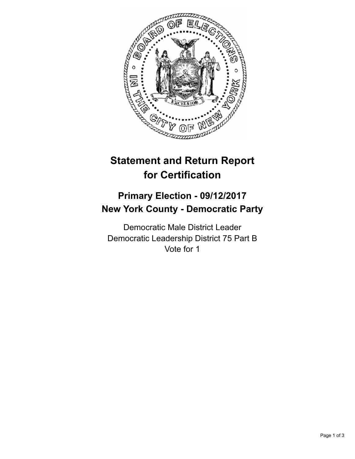

## **Statement and Return Report for Certification**

## **Primary Election - 09/12/2017 New York County - Democratic Party**

Democratic Male District Leader Democratic Leadership District 75 Part B Vote for 1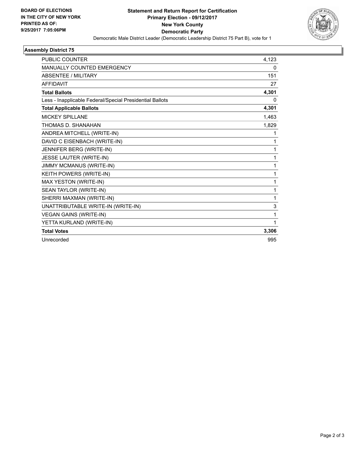

## **Assembly District 75**

| <b>PUBLIC COUNTER</b>                                    | 4,123        |
|----------------------------------------------------------|--------------|
| <b>MANUALLY COUNTED EMERGENCY</b>                        | 0            |
| <b>ABSENTEE / MILITARY</b>                               | 151          |
| <b>AFFIDAVIT</b>                                         | 27           |
| <b>Total Ballots</b>                                     | 4,301        |
| Less - Inapplicable Federal/Special Presidential Ballots | 0            |
| <b>Total Applicable Ballots</b>                          | 4,301        |
| <b>MICKEY SPILLANE</b>                                   | 1,463        |
| THOMAS D. SHANAHAN                                       | 1,829        |
| ANDREA MITCHELL (WRITE-IN)                               | 1            |
| DAVID C EISENBACH (WRITE-IN)                             | 1            |
| JENNIFER BERG (WRITE-IN)                                 | 1            |
| JESSE LAUTER (WRITE-IN)                                  | $\mathbf{1}$ |
| <b>JIMMY MCMANUS (WRITE-IN)</b>                          | 1            |
| KEITH POWERS (WRITE-IN)                                  | 1            |
| MAX YESTON (WRITE-IN)                                    | 1            |
| SEAN TAYLOR (WRITE-IN)                                   | 1            |
| SHERRI MAXMAN (WRITE-IN)                                 | 1            |
| UNATTRIBUTABLE WRITE-IN (WRITE-IN)                       | 3            |
| <b>VEGAN GAINS (WRITE-IN)</b>                            | 1            |
| YETTA KURLAND (WRITE-IN)                                 | 1            |
| <b>Total Votes</b>                                       | 3,306        |
| Unrecorded                                               | 995          |